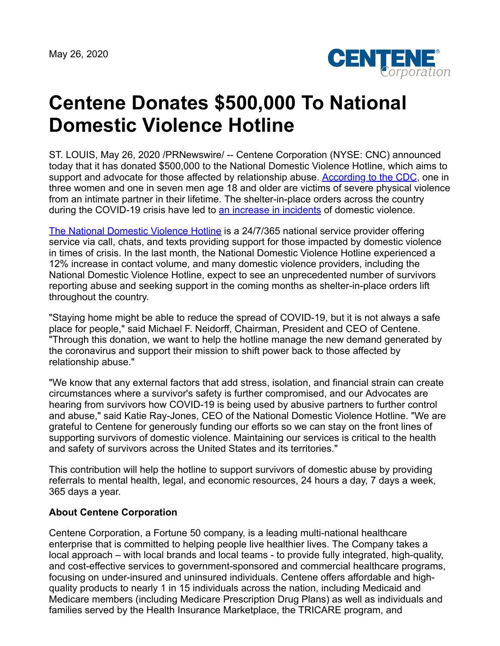May 26, 2020



## **Centene Donates \$500,000 To National Domestic Violence Hotline**

ST. LOUIS, May 26, 2020 /PRNewswire/ -- Centene Corporation (NYSE: CNC) announced today that it has donated \$500,000 to the National Domestic Violence Hotline, which aims to support and advocate for those affected by relationship abuse. [According to the CDC,](https://www.cdc.gov/violenceprevention/pdf/nisvs_report2010-a.pdf) one in three women and one in seven men age 18 and older are victims of severe physical violence from an intimate partner in their lifetime. The shelter-in-place orders across the country during the COVID-19 crisis have led to [an increase in incidents](applewebdata://D2F6114F-2021-469B-A750-04F84E845C29/According%20to%20the%20CDC,%20one%20in%20three%20women%20and%20one%20in%20seven%20men%20age%2018%20and%20older%20are%20victims%20of%20severe%20physical%20violence%20from%20an%20intimate%20partner%20in%20their%20lifetime.%20The%20shelter-in-place%20orders%20across%20the%20country%20during%20the%20COVID-19%20crisis%20have%20led%20to%20an%20increase%20in%20incidents%20of%20domestic%20violence.) of domestic violence.

[The National Domestic Violence Hotline](https://www.thehotline.org/) is a 24/7/365 national service provider offering service via call, chats, and texts providing support for those impacted by domestic violence in times of crisis. In the last month, the National Domestic Violence Hotline experienced a 12% increase in contact volume, and many domestic violence providers, including the National Domestic Violence Hotline, expect to see an unprecedented number of survivors reporting abuse and seeking support in the coming months as shelter-in-place orders lift throughout the country.

"Staying home might be able to reduce the spread of COVID-19, but it is not always a safe place for people," said Michael F. Neidorff, Chairman, President and CEO of Centene. "Through this donation, we want to help the hotline manage the new demand generated by the coronavirus and support their mission to shift power back to those affected by relationship abuse."

"We know that any external factors that add stress, isolation, and financial strain can create circumstances where a survivor's safety is further compromised, and our Advocates are hearing from survivors how COVID-19 is being used by abusive partners to further control and abuse," said Katie Ray-Jones, CEO of the National Domestic Violence Hotline. "We are grateful to Centene for generously funding our efforts so we can stay on the front lines of supporting survivors of domestic violence. Maintaining our services is critical to the health and safety of survivors across the United States and its territories."

This contribution will help the hotline to support survivors of domestic abuse by providing referrals to mental health, legal, and economic resources, 24 hours a day, 7 days a week, 365 days a year.

## **About Centene Corporation**

Centene Corporation, a Fortune 50 company, is a leading multi-national healthcare enterprise that is committed to helping people live healthier lives. The Company takes a local approach – with local brands and local teams - to provide fully integrated, high-quality, and cost-effective services to government-sponsored and commercial healthcare programs, focusing on under-insured and uninsured individuals. Centene offers affordable and highquality products to nearly 1 in 15 individuals across the nation, including Medicaid and Medicare members (including Medicare Prescription Drug Plans) as well as individuals and families served by the Health Insurance Marketplace, the TRICARE program, and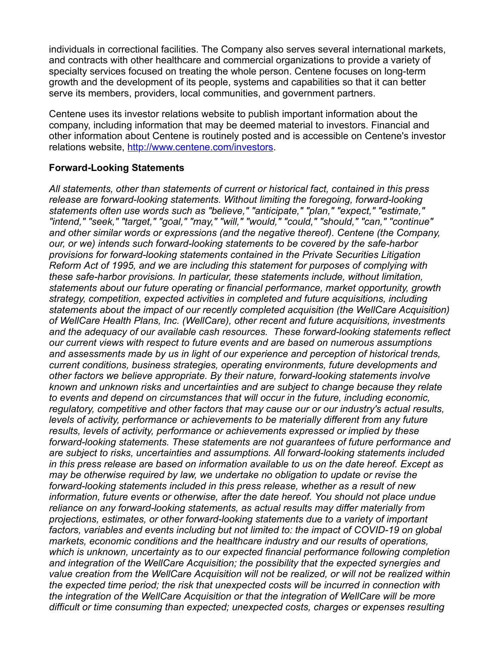individuals in correctional facilities. The Company also serves several international markets, and contracts with other healthcare and commercial organizations to provide a variety of specialty services focused on treating the whole person. Centene focuses on long-term growth and the development of its people, systems and capabilities so that it can better serve its members, providers, local communities, and government partners.

Centene uses its investor relations website to publish important information about the company, including information that may be deemed material to investors. Financial and other information about Centene is routinely posted and is accessible on Centene's investor relations website, <http://www.centene.com/investors>.

## **Forward-Looking Statements**

*All statements, other than statements of current or historical fact, contained in this press release are forward-looking statements. Without limiting the foregoing, forward-looking statements often use words such as "believe," "anticipate," "plan," "expect," "estimate," "intend," "seek," "target," "goal," "may," "will," "would," "could," "should," "can," "continue" and other similar words or expressions (and the negative thereof). Centene (the Company, our, or we) intends such forward-looking statements to be covered by the safe-harbor provisions for forward-looking statements contained in the Private Securities Litigation Reform Act of 1995, and we are including this statement for purposes of complying with these safe-harbor provisions. In particular, these statements include, without limitation, statements about our future operating or financial performance, market opportunity, growth strategy, competition, expected activities in completed and future acquisitions, including statements about the impact of our recently completed acquisition (the WellCare Acquisition) of WellCare Health Plans, Inc. (WellCare), other recent and future acquisitions, investments and the adequacy of our available cash resources. These forward-looking statements reflect our current views with respect to future events and are based on numerous assumptions and assessments made by us in light of our experience and perception of historical trends, current conditions, business strategies, operating environments, future developments and other factors we believe appropriate. By their nature, forward-looking statements involve known and unknown risks and uncertainties and are subject to change because they relate to events and depend on circumstances that will occur in the future, including economic, regulatory, competitive and other factors that may cause our or our industry's actual results, levels of activity, performance or achievements to be materially different from any future results, levels of activity, performance or achievements expressed or implied by these forward-looking statements. These statements are not guarantees of future performance and are subject to risks, uncertainties and assumptions. All forward-looking statements included in this press release are based on information available to us on the date hereof. Except as may be otherwise required by law, we undertake no obligation to update or revise the forward-looking statements included in this press release, whether as a result of new information, future events or otherwise, after the date hereof. You should not place undue reliance on any forward-looking statements, as actual results may differ materially from projections, estimates, or other forward-looking statements due to a variety of important factors, variables and events including but not limited to: the impact of COVID-19 on global markets, economic conditions and the healthcare industry and our results of operations, which is unknown, uncertainty as to our expected financial performance following completion and integration of the WellCare Acquisition; the possibility that the expected synergies and value creation from the WellCare Acquisition will not be realized, or will not be realized within the expected time period; the risk that unexpected costs will be incurred in connection with the integration of the WellCare Acquisition or that the integration of WellCare will be more difficult or time consuming than expected; unexpected costs, charges or expenses resulting*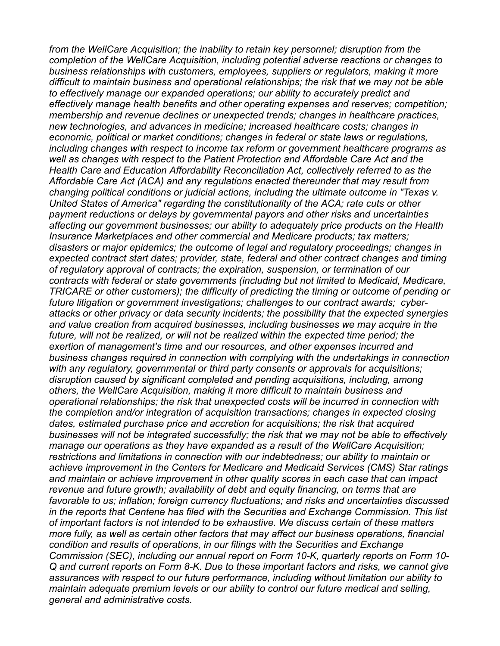*from the WellCare Acquisition; the inability to retain key personnel; disruption from the completion of the WellCare Acquisition, including potential adverse reactions or changes to business relationships with customers, employees, suppliers or regulators, making it more difficult to maintain business and operational relationships; the risk that we may not be able to effectively manage our expanded operations; our ability to accurately predict and effectively manage health benefits and other operating expenses and reserves; competition; membership and revenue declines or unexpected trends; changes in healthcare practices, new technologies, and advances in medicine; increased healthcare costs; changes in economic, political or market conditions; changes in federal or state laws or regulations, including changes with respect to income tax reform or government healthcare programs as well as changes with respect to the Patient Protection and Affordable Care Act and the Health Care and Education Affordability Reconciliation Act, collectively referred to as the Affordable Care Act (ACA) and any regulations enacted thereunder that may result from changing political conditions or judicial actions, including the ultimate outcome in "Texas v. United States of America" regarding the constitutionality of the ACA; rate cuts or other payment reductions or delays by governmental payors and other risks and uncertainties affecting our government businesses; our ability to adequately price products on the Health Insurance Marketplaces and other commercial and Medicare products; tax matters; disasters or major epidemics; the outcome of legal and regulatory proceedings; changes in expected contract start dates; provider, state, federal and other contract changes and timing of regulatory approval of contracts; the expiration, suspension, or termination of our contracts with federal or state governments (including but not limited to Medicaid, Medicare, TRICARE or other customers); the difficulty of predicting the timing or outcome of pending or future litigation or government investigations; challenges to our contract awards; cyberattacks or other privacy or data security incidents; the possibility that the expected synergies and value creation from acquired businesses, including businesses we may acquire in the future, will not be realized, or will not be realized within the expected time period; the exertion of management's time and our resources, and other expenses incurred and business changes required in connection with complying with the undertakings in connection with any regulatory, governmental or third party consents or approvals for acquisitions; disruption caused by significant completed and pending acquisitions, including, among others, the WellCare Acquisition, making it more difficult to maintain business and operational relationships; the risk that unexpected costs will be incurred in connection with the completion and/or integration of acquisition transactions; changes in expected closing dates, estimated purchase price and accretion for acquisitions; the risk that acquired businesses will not be integrated successfully; the risk that we may not be able to effectively manage our operations as they have expanded as a result of the WellCare Acquisition; restrictions and limitations in connection with our indebtedness; our ability to maintain or achieve improvement in the Centers for Medicare and Medicaid Services (CMS) Star ratings and maintain or achieve improvement in other quality scores in each case that can impact revenue and future growth; availability of debt and equity financing, on terms that are favorable to us; inflation; foreign currency fluctuations; and risks and uncertainties discussed in the reports that Centene has filed with the Securities and Exchange Commission. This list of important factors is not intended to be exhaustive. We discuss certain of these matters more fully, as well as certain other factors that may affect our business operations, financial condition and results of operations, in our filings with the Securities and Exchange Commission (SEC), including our annual report on Form 10-K, quarterly reports on Form 10- Q and current reports on Form 8-K. Due to these important factors and risks, we cannot give assurances with respect to our future performance, including without limitation our ability to maintain adequate premium levels or our ability to control our future medical and selling, general and administrative costs.*